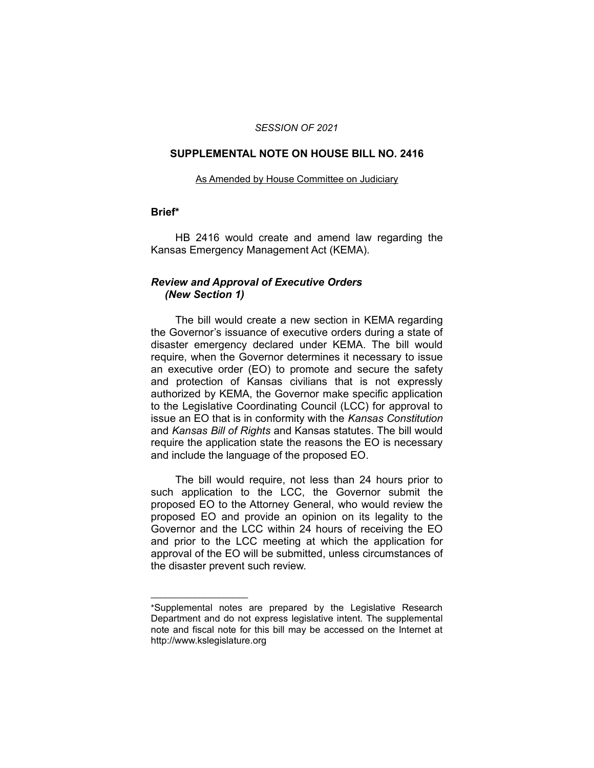#### *SESSION OF 2021*

#### **SUPPLEMENTAL NOTE ON HOUSE BILL NO. 2416**

#### As Amended by House Committee on Judiciary

### **Brief\***

HB 2416 would create and amend law regarding the Kansas Emergency Management Act (KEMA).

## *Review and Approval of Executive Orders (New Section 1)*

The bill would create a new section in KEMA regarding the Governor's issuance of executive orders during a state of disaster emergency declared under KEMA. The bill would require, when the Governor determines it necessary to issue an executive order (EO) to promote and secure the safety and protection of Kansas civilians that is not expressly authorized by KEMA, the Governor make specific application to the Legislative Coordinating Council (LCC) for approval to issue an EO that is in conformity with the *Kansas Constitution* and *Kansas Bill of Rights* and Kansas statutes. The bill would require the application state the reasons the EO is necessary and include the language of the proposed EO.

The bill would require, not less than 24 hours prior to such application to the LCC, the Governor submit the proposed EO to the Attorney General, who would review the proposed EO and provide an opinion on its legality to the Governor and the LCC within 24 hours of receiving the EO and prior to the LCC meeting at which the application for approval of the EO will be submitted, unless circumstances of the disaster prevent such review.

 $\overline{\phantom{a}}$  , where  $\overline{\phantom{a}}$  , where  $\overline{\phantom{a}}$ 

<sup>\*</sup>Supplemental notes are prepared by the Legislative Research Department and do not express legislative intent. The supplemental note and fiscal note for this bill may be accessed on the Internet at http://www.kslegislature.org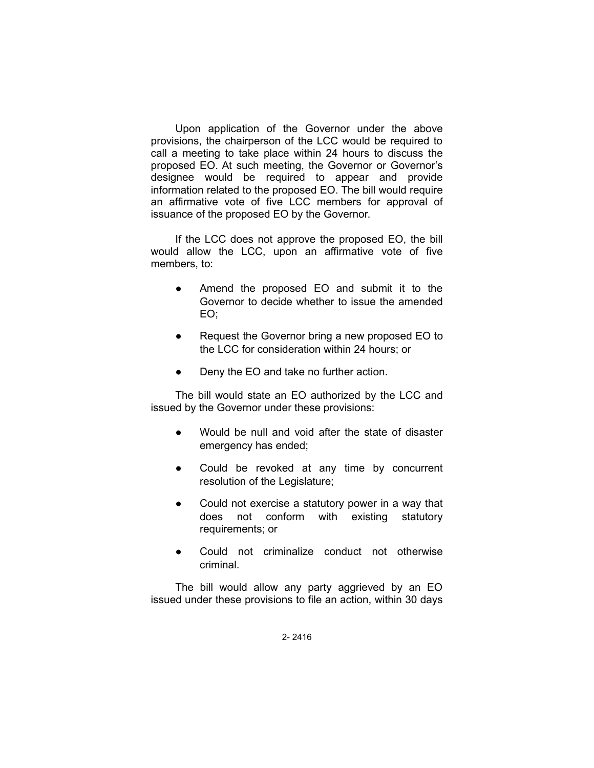Upon application of the Governor under the above provisions, the chairperson of the LCC would be required to call a meeting to take place within 24 hours to discuss the proposed EO. At such meeting, the Governor or Governor's designee would be required to appear and provide information related to the proposed EO. The bill would require an affirmative vote of five LCC members for approval of issuance of the proposed EO by the Governor.

If the LCC does not approve the proposed EO, the bill would allow the LCC, upon an affirmative vote of five members, to:

- Amend the proposed EO and submit it to the Governor to decide whether to issue the amended EO;
- Request the Governor bring a new proposed EO to the LCC for consideration within 24 hours; or
- Deny the EO and take no further action.

The bill would state an EO authorized by the LCC and issued by the Governor under these provisions:

- Would be null and void after the state of disaster emergency has ended;
- Could be revoked at any time by concurrent resolution of the Legislature;
- Could not exercise a statutory power in a way that does not conform with existing statutory requirements; or
- Could not criminalize conduct not otherwise criminal.

The bill would allow any party aggrieved by an EO issued under these provisions to file an action, within 30 days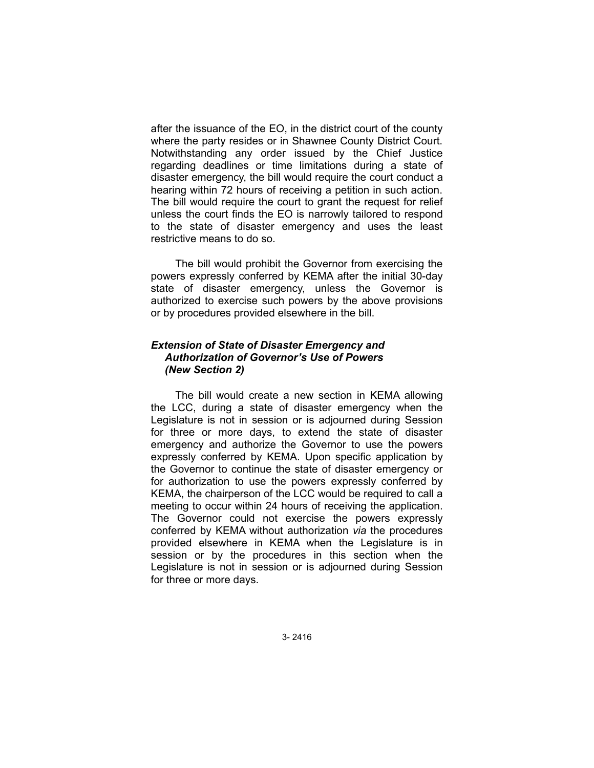after the issuance of the EO, in the district court of the county where the party resides or in Shawnee County District Court. Notwithstanding any order issued by the Chief Justice regarding deadlines or time limitations during a state of disaster emergency, the bill would require the court conduct a hearing within 72 hours of receiving a petition in such action. The bill would require the court to grant the request for relief unless the court finds the EO is narrowly tailored to respond to the state of disaster emergency and uses the least restrictive means to do so.

The bill would prohibit the Governor from exercising the powers expressly conferred by KEMA after the initial 30-day state of disaster emergency, unless the Governor is authorized to exercise such powers by the above provisions or by procedures provided elsewhere in the bill.

## *Extension of State of Disaster Emergency and Authorization of Governor's Use of Powers (New Section 2)*

The bill would create a new section in KEMA allowing the LCC, during a state of disaster emergency when the Legislature is not in session or is adjourned during Session for three or more days, to extend the state of disaster emergency and authorize the Governor to use the powers expressly conferred by KEMA. Upon specific application by the Governor to continue the state of disaster emergency or for authorization to use the powers expressly conferred by KEMA, the chairperson of the LCC would be required to call a meeting to occur within 24 hours of receiving the application. The Governor could not exercise the powers expressly conferred by KEMA without authorization *via* the procedures provided elsewhere in KEMA when the Legislature is in session or by the procedures in this section when the Legislature is not in session or is adjourned during Session for three or more days.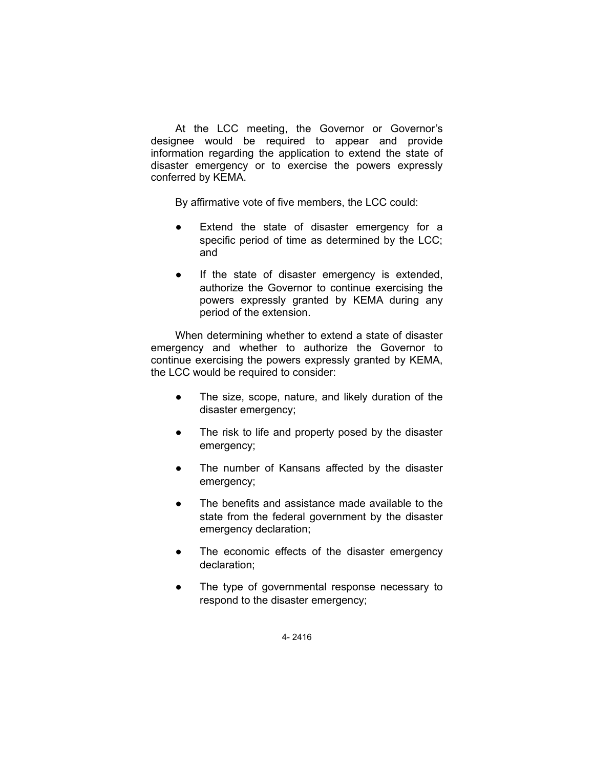At the LCC meeting, the Governor or Governor's designee would be required to appear and provide information regarding the application to extend the state of disaster emergency or to exercise the powers expressly conferred by KEMA.

By affirmative vote of five members, the LCC could:

- Extend the state of disaster emergency for a specific period of time as determined by the LCC; and
- If the state of disaster emergency is extended, authorize the Governor to continue exercising the powers expressly granted by KEMA during any period of the extension.

When determining whether to extend a state of disaster emergency and whether to authorize the Governor to continue exercising the powers expressly granted by KEMA, the LCC would be required to consider:

- The size, scope, nature, and likely duration of the disaster emergency;
- The risk to life and property posed by the disaster emergency;
- The number of Kansans affected by the disaster emergency;
- The benefits and assistance made available to the state from the federal government by the disaster emergency declaration;
- The economic effects of the disaster emergency declaration;
- The type of governmental response necessary to respond to the disaster emergency;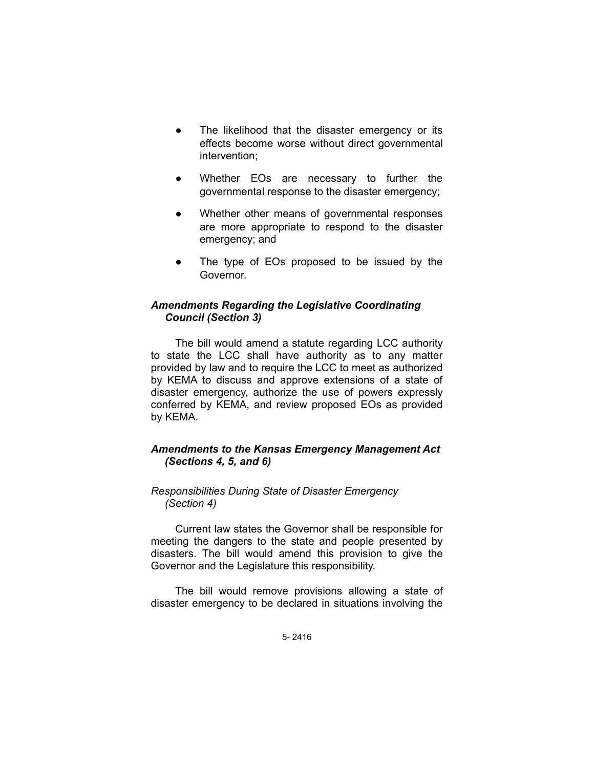- The likelihood that the disaster emergency or its effects become worse without direct governmental intervention;
- Whether EOs are necessary to further the governmental response to the disaster emergency;
- Whether other means of governmental responses are more appropriate to respond to the disaster emergency; and
- The type of EOs proposed to be issued by the Governor.

### *Amendments Regarding the Legislative Coordinating Council (Section 3)*

The bill would amend a statute regarding LCC authority to state the LCC shall have authority as to any matter provided by law and to require the LCC to meet as authorized by KEMA to discuss and approve extensions of a state of disaster emergency, authorize the use of powers expressly conferred by KEMA, and review proposed EOs as provided by KEMA.

## *Amendments to the Kansas Emergency Management Act (Sections 4, 5, and 6)*

### *Responsibilities During State of Disaster Emergency (Section 4)*

Current law states the Governor shall be responsible for meeting the dangers to the state and people presented by disasters. The bill would amend this provision to give the Governor and the Legislature this responsibility.

The bill would remove provisions allowing a state of disaster emergency to be declared in situations involving the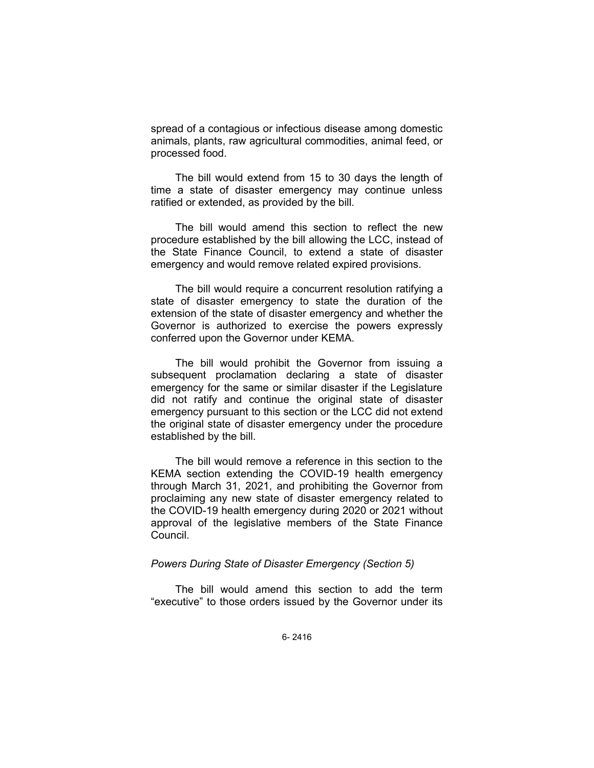spread of a contagious or infectious disease among domestic animals, plants, raw agricultural commodities, animal feed, or processed food.

The bill would extend from 15 to 30 days the length of time a state of disaster emergency may continue unless ratified or extended, as provided by the bill.

The bill would amend this section to reflect the new procedure established by the bill allowing the LCC, instead of the State Finance Council, to extend a state of disaster emergency and would remove related expired provisions.

The bill would require a concurrent resolution ratifying a state of disaster emergency to state the duration of the extension of the state of disaster emergency and whether the Governor is authorized to exercise the powers expressly conferred upon the Governor under KEMA.

The bill would prohibit the Governor from issuing a subsequent proclamation declaring a state of disaster emergency for the same or similar disaster if the Legislature did not ratify and continue the original state of disaster emergency pursuant to this section or the LCC did not extend the original state of disaster emergency under the procedure established by the bill.

The bill would remove a reference in this section to the KEMA section extending the COVID-19 health emergency through March 31, 2021, and prohibiting the Governor from proclaiming any new state of disaster emergency related to the COVID-19 health emergency during 2020 or 2021 without approval of the legislative members of the State Finance Council.

### *Powers During State of Disaster Emergency (Section 5)*

The bill would amend this section to add the term "executive" to those orders issued by the Governor under its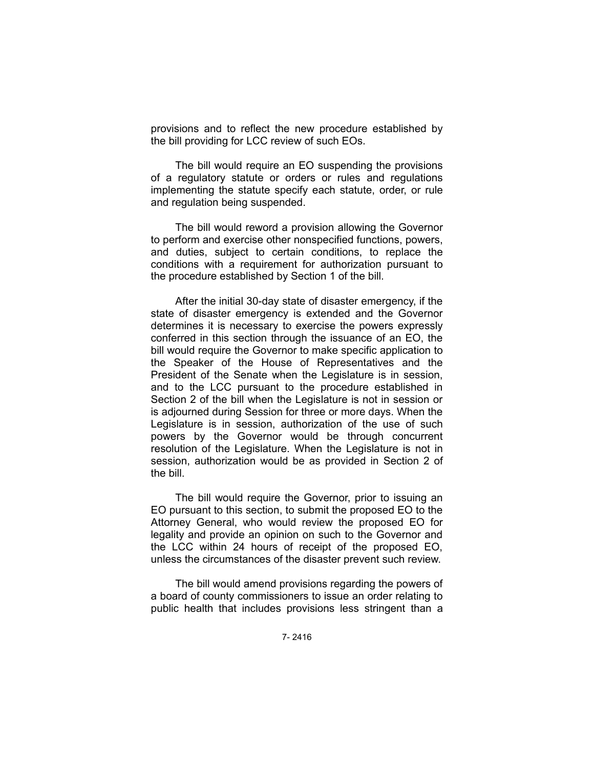provisions and to reflect the new procedure established by the bill providing for LCC review of such EOs.

The bill would require an EO suspending the provisions of a regulatory statute or orders or rules and regulations implementing the statute specify each statute, order, or rule and regulation being suspended.

The bill would reword a provision allowing the Governor to perform and exercise other nonspecified functions, powers, and duties, subject to certain conditions, to replace the conditions with a requirement for authorization pursuant to the procedure established by Section 1 of the bill.

After the initial 30-day state of disaster emergency, if the state of disaster emergency is extended and the Governor determines it is necessary to exercise the powers expressly conferred in this section through the issuance of an EO, the bill would require the Governor to make specific application to the Speaker of the House of Representatives and the President of the Senate when the Legislature is in session, and to the LCC pursuant to the procedure established in Section 2 of the bill when the Legislature is not in session or is adjourned during Session for three or more days. When the Legislature is in session, authorization of the use of such powers by the Governor would be through concurrent resolution of the Legislature. When the Legislature is not in session, authorization would be as provided in Section 2 of the bill.

The bill would require the Governor, prior to issuing an EO pursuant to this section, to submit the proposed EO to the Attorney General, who would review the proposed EO for legality and provide an opinion on such to the Governor and the LCC within 24 hours of receipt of the proposed EO, unless the circumstances of the disaster prevent such review.

The bill would amend provisions regarding the powers of a board of county commissioners to issue an order relating to public health that includes provisions less stringent than a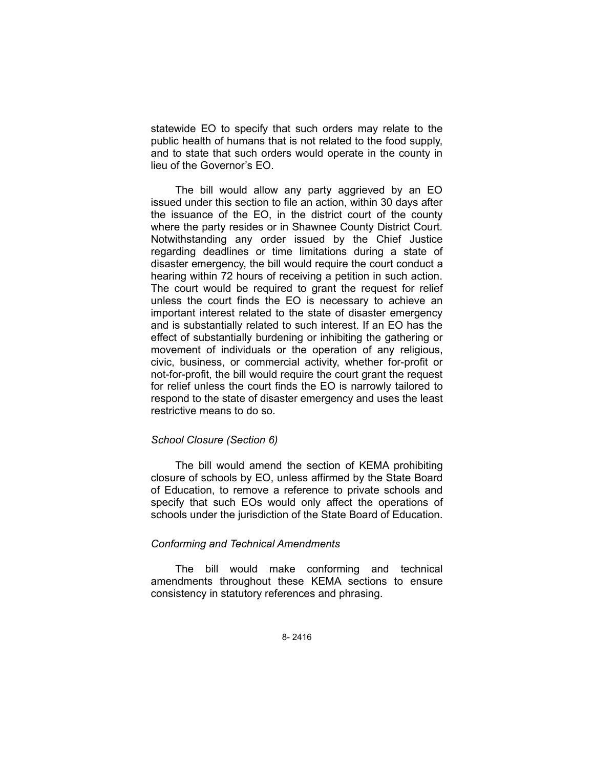statewide EO to specify that such orders may relate to the public health of humans that is not related to the food supply, and to state that such orders would operate in the county in lieu of the Governor's EO.

The bill would allow any party aggrieved by an EO issued under this section to file an action, within 30 days after the issuance of the EO, in the district court of the county where the party resides or in Shawnee County District Court. Notwithstanding any order issued by the Chief Justice regarding deadlines or time limitations during a state of disaster emergency, the bill would require the court conduct a hearing within 72 hours of receiving a petition in such action. The court would be required to grant the request for relief unless the court finds the EO is necessary to achieve an important interest related to the state of disaster emergency and is substantially related to such interest. If an EO has the effect of substantially burdening or inhibiting the gathering or movement of individuals or the operation of any religious, civic, business, or commercial activity, whether for-profit or not-for-profit, the bill would require the court grant the request for relief unless the court finds the EO is narrowly tailored to respond to the state of disaster emergency and uses the least restrictive means to do so.

### *School Closure (Section 6)*

The bill would amend the section of KEMA prohibiting closure of schools by EO, unless affirmed by the State Board of Education, to remove a reference to private schools and specify that such EOs would only affect the operations of schools under the jurisdiction of the State Board of Education.

### *Conforming and Technical Amendments*

The bill would make conforming and technical amendments throughout these KEMA sections to ensure consistency in statutory references and phrasing.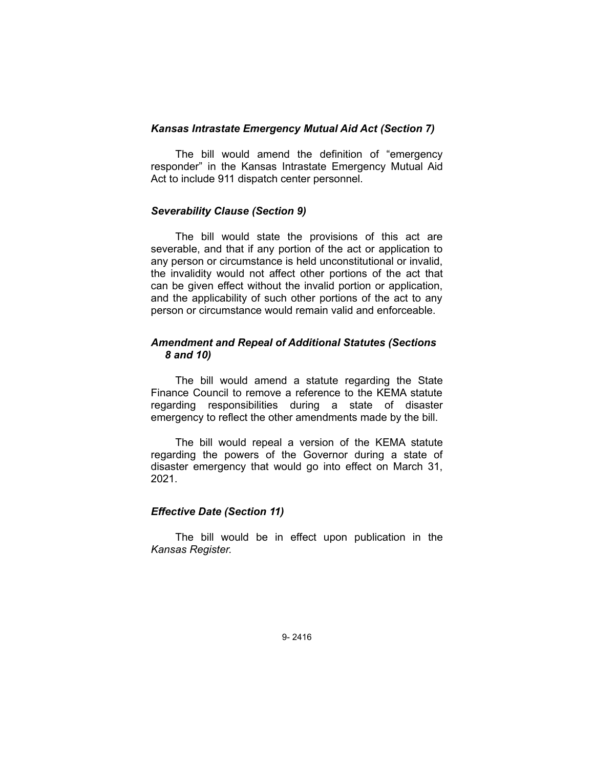### *Kansas Intrastate Emergency Mutual Aid Act (Section 7)*

The bill would amend the definition of "emergency responder" in the Kansas Intrastate Emergency Mutual Aid Act to include 911 dispatch center personnel.

### *Severability Clause (Section 9)*

The bill would state the provisions of this act are severable, and that if any portion of the act or application to any person or circumstance is held unconstitutional or invalid, the invalidity would not affect other portions of the act that can be given effect without the invalid portion or application, and the applicability of such other portions of the act to any person or circumstance would remain valid and enforceable.

### *Amendment and Repeal of Additional Statutes (Sections 8 and 10)*

The bill would amend a statute regarding the State Finance Council to remove a reference to the KEMA statute regarding responsibilities during a state of disaster emergency to reflect the other amendments made by the bill.

The bill would repeal a version of the KEMA statute regarding the powers of the Governor during a state of disaster emergency that would go into effect on March 31, 2021.

### *Effective Date (Section 11)*

The bill would be in effect upon publication in the *Kansas Register.*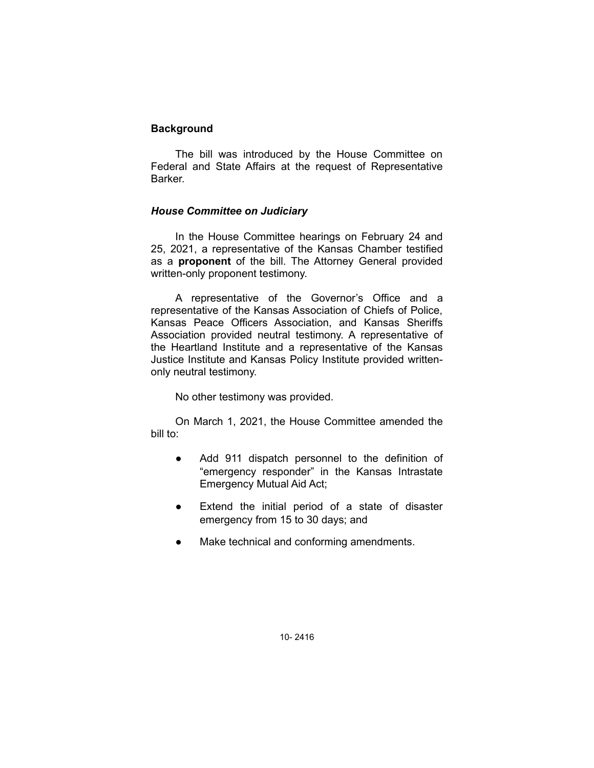### **Background**

The bill was introduced by the House Committee on Federal and State Affairs at the request of Representative Barker.

## *House Committee on Judiciary*

In the House Committee hearings on February 24 and 25, 2021, a representative of the Kansas Chamber testified as a **proponent** of the bill. The Attorney General provided written-only proponent testimony.

A representative of the Governor's Office and a representative of the Kansas Association of Chiefs of Police, Kansas Peace Officers Association, and Kansas Sheriffs Association provided neutral testimony. A representative of the Heartland Institute and a representative of the Kansas Justice Institute and Kansas Policy Institute provided writtenonly neutral testimony.

No other testimony was provided.

On March 1, 2021, the House Committee amended the bill to:

- Add 911 dispatch personnel to the definition of "emergency responder" in the Kansas Intrastate Emergency Mutual Aid Act;
- Extend the initial period of a state of disaster emergency from 15 to 30 days; and
- Make technical and conforming amendments.